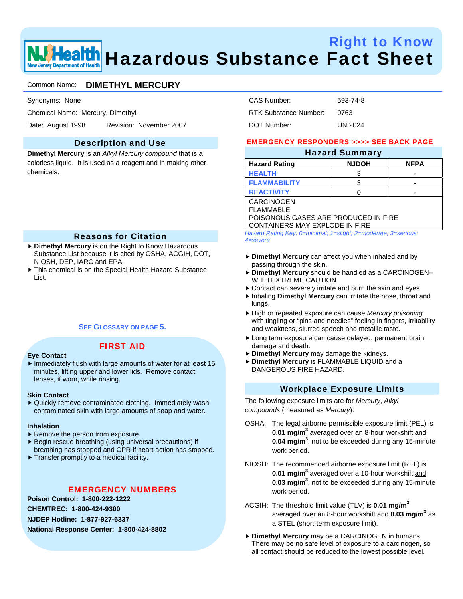# Right to Know Health Hazardous Substance Fact Sheet ew Jersey Department of Health

# Common Name: **DIMETHYL MERCURY**

Synonyms: None

Chemical Name: Mercury, Dimethyl-

Date: August 1998 Revision: November 2007

## Description and Use

**Dimethyl Mercury** is an *Alkyl Mercury compound* that is a colorless liquid. It is used as a reagent and in making other chemicals.

## Reasons for Citation

- **F** Dimethyl Mercury is on the Right to Know Hazardous Substance List because it is cited by OSHA, ACGIH, DOT, NIOSH, DEP, IARC and EPA.
- $\triangleright$  This chemical is on the Special Health Hazard Substance List.

## **SEE GLOSSARY ON PAGE 5.**

## FIRST AID

### **Eye Contact**

 $\blacktriangleright$  Immediately flush with large amounts of water for at least 15 minutes, lifting upper and lower lids. Remove contact lenses, if worn, while rinsing.

### **Skin Contact**

▶ Quickly remove contaminated clothing. Immediately wash contaminated skin with large amounts of soap and water.

### **Inhalation**

- $\blacktriangleright$  Remove the person from exposure.
- $\blacktriangleright$  Begin rescue breathing (using universal precautions) if breathing has stopped and CPR if heart action has stopped.
- $\blacktriangleright$  Transfer promptly to a medical facility.

## EMERGENCY NUMBERS

**Poison Control: 1-800-222-1222 CHEMTREC: 1-800-424-9300 NJDEP Hotline: 1-877-927-6337 National Response Center: 1-800-424-8802** 

| CAS Number:           | 593-74-8 |
|-----------------------|----------|
| RTK Substance Number: | 0763     |
| DOT Number:           | UN 2024  |

## EMERGENCY RESPONDERS >>>> SEE BACK PAGE

| <b>Hazard Summary</b> |              |             |
|-----------------------|--------------|-------------|
| <b>Hazard Rating</b>  | <b>NJDOH</b> | <b>NFPA</b> |
| НЕАІ ТН               |              |             |

| <b>HEALTH</b>       | - |
|---------------------|---|
| <b>FLAMMABILITY</b> | - |
| <b>REACTIVITY</b>   | - |
|                     |   |

CARCINOGEN FLAMMABLE

POISONOUS GASES ARE PRODUCED IN FIRE CONTAINERS MAY EXPLODE IN FIRE

*Hazard Rating Key: 0=minimal; 1=slight; 2=moderate; 3=serious; 4=severe*

- **Dimethyl Mercury** can affect you when inhaled and by passing through the skin.
- **Dimethyl Mercury** should be handled as a CARCINOGEN--WITH EXTREME CAUTION.
- $\triangleright$  Contact can severely irritate and burn the skin and eyes.
- **F** Inhaling **Dimethyl Mercury** can irritate the nose, throat and lungs.
- **High or repeated exposure can cause Mercury poisoning** with tingling or "pins and needles" feeling in fingers, irritability and weakness, slurred speech and metallic taste.
- **Example 1** Long term exposure can cause delayed, permanent brain damage and death.
- **Dimethyl Mercury** may damage the kidneys.
- f **Dimethyl Mercury** is FLAMMABLE LIQUID and a DANGEROUS FIRE HAZARD.

## Workplace Exposure Limits

The following exposure limits are for *Mercury*, *Alkyl compounds* (measured as *Mercury*):

- OSHA: The legal airborne permissible exposure limit (PEL) is 0.01 mg/m<sup>3</sup> averaged over an 8-hour workshift and **0.04 mg/m3** , not to be exceeded during any 15-minute work period.
- NIOSH: The recommended airborne exposure limit (REL) is **0.01 mg/m<sup>3</sup>** averaged over a 10-hour workshift and **0.03 mg/m3** , not to be exceeded during any 15-minute work period.
- ACGIH: The threshold limit value (TLV) is **0.01 mg/m3** averaged over an 8-hour workshift <u>and</u> 0.03 mg/m<sup>3</sup> as a STEL (short-term exposure limit).
- **F** Dimethyl Mercury may be a CARCINOGEN in humans. There may be no safe level of exposure to a carcinogen, so all contact should be reduced to the lowest possible level.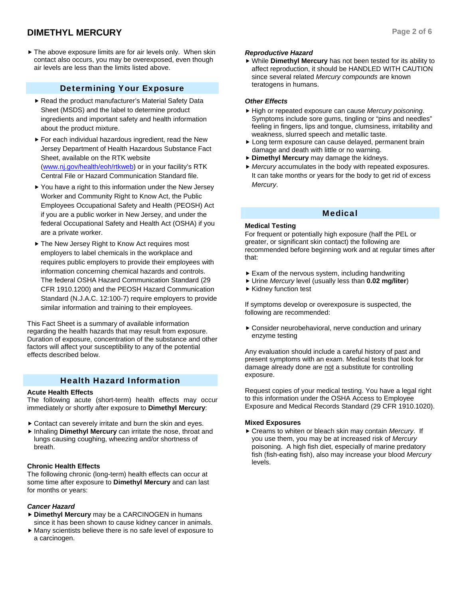# **DIMETHYL MERCURY Page 2 of 6**

 $\blacktriangleright$  The above exposure limits are for air levels only. When skin contact also occurs, you may be overexposed, even though air levels are less than the limits listed above.

## Determining Your Exposure

- ▶ Read the product manufacturer's Material Safety Data Sheet (MSDS) and the label to determine product ingredients and important safety and health information about the product mixture.
- $\blacktriangleright$  For each individual hazardous ingredient, read the New Jersey Department of Health Hazardous Substance Fact Sheet, available on the RTK website (www.nj.gov/health/eoh/rtkweb) or in your facility's RTK Central File or Hazard Communication Standard file.
- $\blacktriangleright$  You have a right to this information under the New Jersey Worker and Community Right to Know Act, the Public Employees Occupational Safety and Health (PEOSH) Act if you are a public worker in New Jersey, and under the federal Occupational Safety and Health Act (OSHA) if you are a private worker.
- ▶ The New Jersey Right to Know Act requires most employers to label chemicals in the workplace and requires public employers to provide their employees with information concerning chemical hazards and controls. The federal OSHA Hazard Communication Standard (29 CFR 1910.1200) and the PEOSH Hazard Communication Standard (N.J.A.C. 12:100-7) require employers to provide similar information and training to their employees.

This Fact Sheet is a summary of available information regarding the health hazards that may result from exposure. Duration of exposure, concentration of the substance and other factors will affect your susceptibility to any of the potential effects described below.

## Health Hazard Information

### **Acute Health Effects**

The following acute (short-term) health effects may occur immediately or shortly after exposure to **Dimethyl Mercury**:

- $\triangleright$  Contact can severely irritate and burn the skin and eyes.
- **F** Inhaling **Dimethyl Mercury** can irritate the nose, throat and lungs causing coughing, wheezing and/or shortness of breath.

## **Chronic Health Effects**

The following chronic (long-term) health effects can occur at some time after exposure to **Dimethyl Mercury** and can last for months or years:

### *Cancer Hazard*

- **F** Dimethyl Mercury may be a CARCINOGEN in humans since it has been shown to cause kidney cancer in animals.
- $\blacktriangleright$  Many scientists believe there is no safe level of exposure to a carcinogen.

#### *Reproductive Hazard*

▶ While Dimethyl Mercury has not been tested for its ability to affect reproduction, it should be HANDLED WITH CAUTION since several related *Mercury compounds* are known teratogens in humans.

#### *Other Effects*

- $\blacktriangleright$  High or repeated exposure can cause *Mercury poisoning*. Symptoms include sore gums, tingling or "pins and needles" feeling in fingers, lips and tongue, clumsiness, irritability and weakness, slurred speech and metallic taste.
- **Example 1** Long term exposure can cause delayed, permanent brain damage and death with little or no warning.
- **Dimethyl Mercury** may damage the kidneys.
- ▶ *Mercury* accumulates in the body with repeated exposures. It can take months or years for the body to get rid of excess *Mercury*.

## Medical

#### **Medical Testing**

For frequent or potentially high exposure (half the PEL or greater, or significant skin contact) the following are recommended before beginning work and at regular times after that:

- $\blacktriangleright$  Exam of the nervous system, including handwriting
- ▶ Urine *Mercury* level (usually less than **0.02 mg/liter**)
- $\blacktriangleright$  Kidney function test

If symptoms develop or overexposure is suspected, the following are recommended:

 $\triangleright$  Consider neurobehavioral, nerve conduction and urinary enzyme testing

Any evaluation should include a careful history of past and present symptoms with an exam. Medical tests that look for damage already done are not a substitute for controlling exposure.

Request copies of your medical testing. You have a legal right to this information under the OSHA Access to Employee Exposure and Medical Records Standard (29 CFR 1910.1020).

#### **Mixed Exposures**

▶ Creams to whiten or bleach skin may contain *Mercury*. If you use them, you may be at increased risk of *Mercury* poisoning. A high fish diet, especially of marine predatory fish (fish-eating fish), also may increase your blood *Mercury* levels.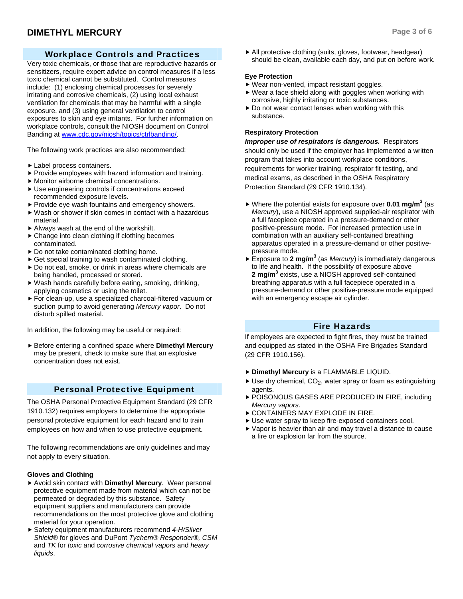## Workplace Controls and Practices

Very toxic chemicals, or those that are reproductive hazards or sensitizers, require expert advice on control measures if a less toxic chemical cannot be substituted. Control measures include: (1) enclosing chemical processes for severely irritating and corrosive chemicals, (2) using local exhaust ventilation for chemicals that may be harmful with a single exposure, and (3) using general ventilation to control exposures to skin and eye irritants. For further information on workplace controls, consult the NIOSH document on Control Banding at www.cdc.gov/niosh/topics/ctrlbanding/.

The following work practices are also recommended:

- $\blacktriangleright$  Label process containers.
- $\blacktriangleright$  Provide employees with hazard information and training.
- $\blacktriangleright$  Monitor airborne chemical concentrations.
- $\blacktriangleright$  Use engineering controls if concentrations exceed recommended exposure levels.
- $\blacktriangleright$  Provide eye wash fountains and emergency showers.
- $\blacktriangleright$  Wash or shower if skin comes in contact with a hazardous material.
- $\blacktriangleright$  Always wash at the end of the workshift.
- $\triangleright$  Change into clean clothing if clothing becomes contaminated.
- $\triangleright$  Do not take contaminated clothing home.
- $\triangleright$  Get special training to wash contaminated clothing.
- $\triangleright$  Do not eat, smoke, or drink in areas where chemicals are being handled, processed or stored.
- $\blacktriangleright$  Wash hands carefully before eating, smoking, drinking, applying cosmetics or using the toilet.
- ▶ For clean-up, use a specialized charcoal-filtered vacuum or suction pump to avoid generating *Mercury vapor*. Do not disturb spilled material.

In addition, the following may be useful or required:

▶ Before entering a confined space where **Dimethyl Mercury** may be present, check to make sure that an explosive concentration does not exist.

## Personal Protective Equipment

The OSHA Personal Protective Equipment Standard (29 CFR 1910.132) requires employers to determine the appropriate personal protective equipment for each hazard and to train employees on how and when to use protective equipment.

The following recommendations are only guidelines and may not apply to every situation.

### **Gloves and Clothing**

- ▶ Avoid skin contact with **Dimethyl Mercury**. Wear personal protective equipment made from material which can not be permeated or degraded by this substance. Safety equipment suppliers and manufacturers can provide recommendations on the most protective glove and clothing material for your operation.
- f Safety equipment manufacturers recommend *4-H/Silver Shield®* for gloves and DuPont *Tychem® Responder®, CSM* and *TK* for *toxic* and *corrosive chemical vapors* and *heavy liquids*.

 $\blacktriangleright$  All protective clothing (suits, gloves, footwear, headgear) should be clean, available each day, and put on before work.

## **Eye Protection**

- $\blacktriangleright$  Wear non-vented, impact resistant goggles.
- $\blacktriangleright$  Wear a face shield along with goggles when working with corrosive, highly irritating or toxic substances.
- $\triangleright$  Do not wear contact lenses when working with this substance.

## **Respiratory Protection**

*Improper use of respirators is dangerous.* Respirators should only be used if the employer has implemented a written program that takes into account workplace conditions, requirements for worker training, respirator fit testing, and medical exams, as described in the OSHA Respiratory Protection Standard (29 CFR 1910.134).

- ▶ Where the potential exists for exposure over **0.01 mg/m<sup>3</sup>** (as *Mercury*), use a NIOSH approved supplied-air respirator with a full facepiece operated in a pressure-demand or other positive-pressure mode. For increased protection use in combination with an auxiliary self-contained breathing apparatus operated in a pressure-demand or other positivepressure mode.
- ► Exposure to 2 mg/m<sup>3</sup> (as *Mercury*) is immediately dangerous to life and health. If the possibility of exposure above 2 mg/m<sup>3</sup> exists, use a NIOSH approved self-contained breathing apparatus with a full facepiece operated in a pressure-demand or other positive-pressure mode equipped with an emergency escape air cylinder.

## Fire Hazards

If employees are expected to fight fires, they must be trained and equipped as stated in the OSHA Fire Brigades Standard (29 CFR 1910.156).

- **F** Dimethyl Mercury is a FLAMMABLE LIQUID.
- $\blacktriangleright$  Use dry chemical, CO<sub>2</sub>, water spray or foam as extinguishing agents.
- **POISONOUS GASES ARE PRODUCED IN FIRE, including** *Mercury vapors*.
- **EXPLODE IN FIRE.**
- $\blacktriangleright$  Use water spray to keep fire-exposed containers cool.
- $\blacktriangleright$  Vapor is heavier than air and may travel a distance to cause a fire or explosion far from the source.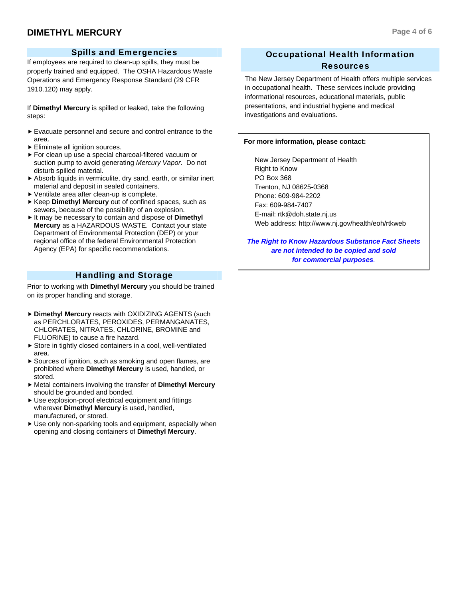# **DIMETHYL MERCURY Page 4 of 6**

## Spills and Emergencies

If employees are required to clean-up spills, they must be properly trained and equipped. The OSHA Hazardous Waste Operations and Emergency Response Standard (29 CFR 1910.120) may apply.

If **Dimethyl Mercury** is spilled or leaked, take the following steps:

- $\blacktriangleright$  Evacuate personnel and secure and control entrance to the area.
- $\blacktriangleright$  Eliminate all ignition sources.
- For clean up use a special charcoal-filtered vacuum or suction pump to avoid generating *Mercury Vapor*. Do not disturb spilled material.
- $\blacktriangleright$  Absorb liquids in vermiculite, dry sand, earth, or similar inert material and deposit in sealed containers.
- $\blacktriangleright$  Ventilate area after clean-up is complete.
- ▶ Keep **Dimethyl Mercury** out of confined spaces, such as sewers, because of the possibility of an explosion.
- ► It may be necessary to contain and dispose of **Dimethyl Mercury** as a HAZARDOUS WASTE. Contact your state Department of Environmental Protection (DEP) or your regional office of the federal Environmental Protection Agency (EPA) for specific recommendations.

# Handling and Storage

Prior to working with **Dimethyl Mercury** you should be trained on its proper handling and storage.

- **Dimethyl Mercury** reacts with OXIDIZING AGENTS (such as PERCHLORATES, PEROXIDES, PERMANGANATES, CHLORATES, NITRATES, CHLORINE, BROMINE and FLUORINE) to cause a fire hazard.
- $\triangleright$  Store in tightly closed containers in a cool, well-ventilated area.
- $\triangleright$  Sources of ignition, such as smoking and open flames, are prohibited where **Dimethyl Mercury** is used, handled, or stored.
- ▶ Metal containers involving the transfer of **Dimethyl Mercury** should be grounded and bonded.
- $\blacktriangleright$  Use explosion-proof electrical equipment and fittings wherever **Dimethyl Mercury** is used, handled, manufactured, or stored.
- $\blacktriangleright$  Use only non-sparking tools and equipment, especially when opening and closing containers of **Dimethyl Mercury**.

# Occupational Health Information Resources

The New Jersey Department of Health offers multiple services in occupational health. These services include providing informational resources, educational materials, public presentations, and industrial hygiene and medical investigations and evaluations.

### **For more information, please contact:**

 New Jersey Department of Health Right to Know PO Box 368 Trenton, NJ 08625-0368 Phone: 609-984-2202 Fax: 609-984-7407 E-mail: rtk@doh.state.nj.us Web address: http://www.nj.gov/health/eoh/rtkweb

*The Right to Know Hazardous Substance Fact Sheets are not intended to be copied and sold for commercial purposes.*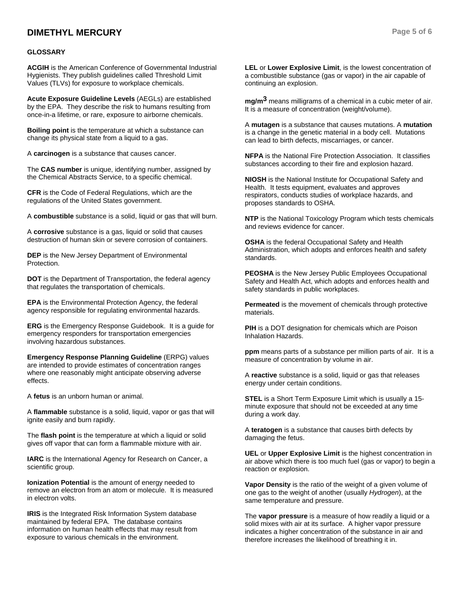# **DIMETHYL MERCURY Page 5 of 6**

#### **GLOSSARY**

**ACGIH** is the American Conference of Governmental Industrial Hygienists. They publish guidelines called Threshold Limit Values (TLVs) for exposure to workplace chemicals.

**Acute Exposure Guideline Levels** (AEGLs) are established by the EPA. They describe the risk to humans resulting from once-in-a lifetime, or rare, exposure to airborne chemicals.

**Boiling point** is the temperature at which a substance can change its physical state from a liquid to a gas.

A **carcinogen** is a substance that causes cancer.

The **CAS number** is unique, identifying number, assigned by the Chemical Abstracts Service, to a specific chemical.

**CFR** is the Code of Federal Regulations, which are the regulations of the United States government.

A **combustible** substance is a solid, liquid or gas that will burn.

A **corrosive** substance is a gas, liquid or solid that causes destruction of human skin or severe corrosion of containers.

**DEP** is the New Jersey Department of Environmental Protection.

**DOT** is the Department of Transportation, the federal agency that regulates the transportation of chemicals.

**EPA** is the Environmental Protection Agency, the federal agency responsible for regulating environmental hazards.

**ERG** is the Emergency Response Guidebook. It is a guide for emergency responders for transportation emergencies involving hazardous substances.

**Emergency Response Planning Guideline** (ERPG) values are intended to provide estimates of concentration ranges where one reasonably might anticipate observing adverse effects.

A **fetus** is an unborn human or animal.

A **flammable** substance is a solid, liquid, vapor or gas that will ignite easily and burn rapidly.

The **flash point** is the temperature at which a liquid or solid gives off vapor that can form a flammable mixture with air.

**IARC** is the International Agency for Research on Cancer, a scientific group.

**Ionization Potential** is the amount of energy needed to remove an electron from an atom or molecule. It is measured in electron volts.

**IRIS** is the Integrated Risk Information System database maintained by federal EPA. The database contains information on human health effects that may result from exposure to various chemicals in the environment.

**LEL** or **Lower Explosive Limit**, is the lowest concentration of a combustible substance (gas or vapor) in the air capable of continuing an explosion.

**mg/m3** means milligrams of a chemical in a cubic meter of air. It is a measure of concentration (weight/volume).

A **mutagen** is a substance that causes mutations. A **mutation** is a change in the genetic material in a body cell. Mutations can lead to birth defects, miscarriages, or cancer.

**NFPA** is the National Fire Protection Association. It classifies substances according to their fire and explosion hazard.

**NIOSH** is the National Institute for Occupational Safety and Health. It tests equipment, evaluates and approves respirators, conducts studies of workplace hazards, and proposes standards to OSHA.

**NTP** is the National Toxicology Program which tests chemicals and reviews evidence for cancer.

**OSHA** is the federal Occupational Safety and Health Administration, which adopts and enforces health and safety standards.

**PEOSHA** is the New Jersey Public Employees Occupational Safety and Health Act, which adopts and enforces health and safety standards in public workplaces.

**Permeated** is the movement of chemicals through protective materials.

**PIH** is a DOT designation for chemicals which are Poison Inhalation Hazards.

**ppm** means parts of a substance per million parts of air. It is a measure of concentration by volume in air.

A **reactive** substance is a solid, liquid or gas that releases energy under certain conditions.

**STEL** is a Short Term Exposure Limit which is usually a 15 minute exposure that should not be exceeded at any time during a work day.

A **teratogen** is a substance that causes birth defects by damaging the fetus.

**UEL** or **Upper Explosive Limit** is the highest concentration in air above which there is too much fuel (gas or vapor) to begin a reaction or explosion.

**Vapor Density** is the ratio of the weight of a given volume of one gas to the weight of another (usually *Hydrogen*), at the same temperature and pressure.

The **vapor pressure** is a measure of how readily a liquid or a solid mixes with air at its surface. A higher vapor pressure indicates a higher concentration of the substance in air and therefore increases the likelihood of breathing it in.